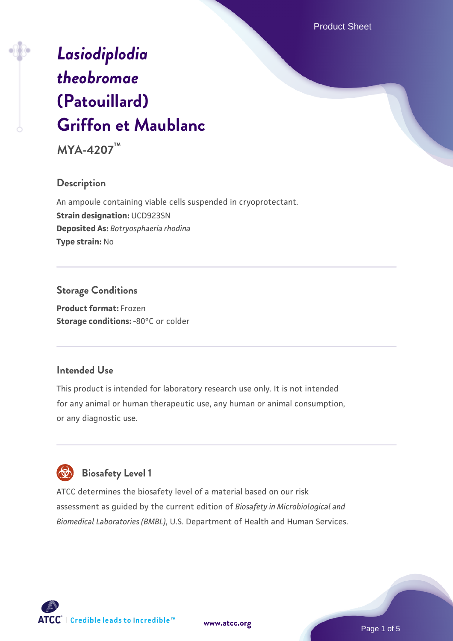Product Sheet

# *[Lasiodiplodia](https://www.atcc.org/products/mya-4207) [theobromae](https://www.atcc.org/products/mya-4207)* **[\(Patouillard\)](https://www.atcc.org/products/mya-4207) [Griffon et Maublanc](https://www.atcc.org/products/mya-4207)**

**MYA-4207™**

#### **Description**

An ampoule containing viable cells suspended in cryoprotectant. **Strain designation:** UCD923SN **Deposited As:** *Botryosphaeria rhodina* **Type strain:** No

### **Storage Conditions**

**Product format:** Frozen **Storage conditions: - 80°C** or colder

#### **Intended Use**

This product is intended for laboratory research use only. It is not intended for any animal or human therapeutic use, any human or animal consumption, or any diagnostic use.

# **Biosafety Level 1**

ATCC determines the biosafety level of a material based on our risk assessment as guided by the current edition of *Biosafety in Microbiological and Biomedical Laboratories (BMBL)*, U.S. Department of Health and Human Services.

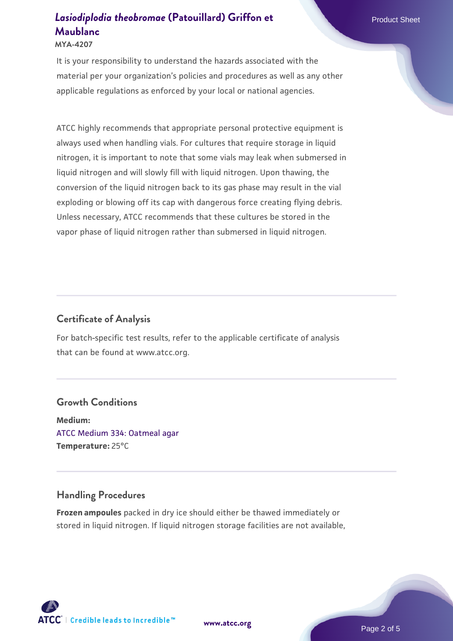#### **MYA-4207**

It is your responsibility to understand the hazards associated with the material per your organization's policies and procedures as well as any other applicable regulations as enforced by your local or national agencies.

ATCC highly recommends that appropriate personal protective equipment is always used when handling vials. For cultures that require storage in liquid nitrogen, it is important to note that some vials may leak when submersed in liquid nitrogen and will slowly fill with liquid nitrogen. Upon thawing, the conversion of the liquid nitrogen back to its gas phase may result in the vial exploding or blowing off its cap with dangerous force creating flying debris. Unless necessary, ATCC recommends that these cultures be stored in the vapor phase of liquid nitrogen rather than submersed in liquid nitrogen.

#### **Certificate of Analysis**

For batch-specific test results, refer to the applicable certificate of analysis that can be found at www.atcc.org.

#### **Growth Conditions**

**Medium:**  [ATCC Medium 334: Oatmeal agar](https://www.atcc.org/-/media/product-assets/documents/microbial-media-formulations/3/3/4/atcc-medium-334.pdf?rev=e382a75a48794764902dd7457c97fc29) **Temperature:** 25°C

#### **Handling Procedures**

**Frozen ampoules** packed in dry ice should either be thawed immediately or stored in liquid nitrogen. If liquid nitrogen storage facilities are not available,

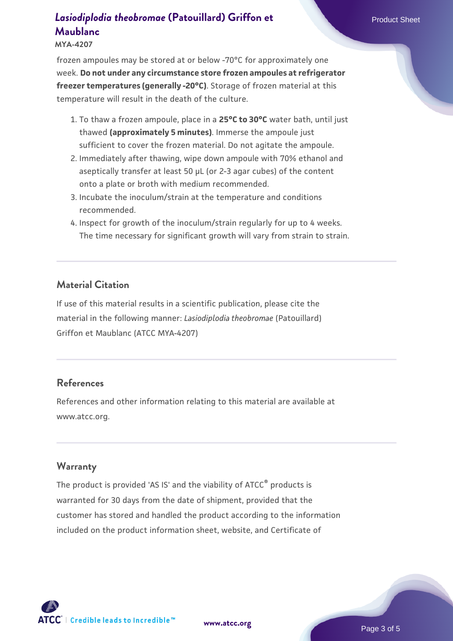#### **MYA-4207**

frozen ampoules may be stored at or below -70°C for approximately one week. **Do not under any circumstance store frozen ampoules at refrigerator freezer temperatures (generally -20°C)**. Storage of frozen material at this temperature will result in the death of the culture.

- 1. To thaw a frozen ampoule, place in a **25°C to 30°C** water bath, until just thawed **(approximately 5 minutes)**. Immerse the ampoule just sufficient to cover the frozen material. Do not agitate the ampoule.
- 2. Immediately after thawing, wipe down ampoule with 70% ethanol and aseptically transfer at least 50 µL (or 2-3 agar cubes) of the content onto a plate or broth with medium recommended.
- 3. Incubate the inoculum/strain at the temperature and conditions recommended.
- 4. Inspect for growth of the inoculum/strain regularly for up to 4 weeks. The time necessary for significant growth will vary from strain to strain.

#### **Material Citation**

If use of this material results in a scientific publication, please cite the material in the following manner: *Lasiodiplodia theobromae* (Patouillard) Griffon et Maublanc (ATCC MYA-4207)

#### **References**

References and other information relating to this material are available at www.atcc.org.

#### **Warranty**

The product is provided 'AS IS' and the viability of ATCC® products is warranted for 30 days from the date of shipment, provided that the customer has stored and handled the product according to the information included on the product information sheet, website, and Certificate of

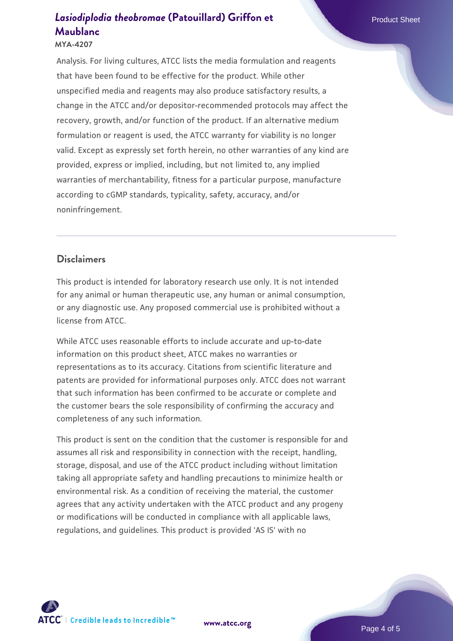#### **MYA-4207**

Analysis. For living cultures, ATCC lists the media formulation and reagents that have been found to be effective for the product. While other unspecified media and reagents may also produce satisfactory results, a change in the ATCC and/or depositor-recommended protocols may affect the recovery, growth, and/or function of the product. If an alternative medium formulation or reagent is used, the ATCC warranty for viability is no longer valid. Except as expressly set forth herein, no other warranties of any kind are provided, express or implied, including, but not limited to, any implied warranties of merchantability, fitness for a particular purpose, manufacture according to cGMP standards, typicality, safety, accuracy, and/or noninfringement.

#### **Disclaimers**

This product is intended for laboratory research use only. It is not intended for any animal or human therapeutic use, any human or animal consumption, or any diagnostic use. Any proposed commercial use is prohibited without a license from ATCC.

While ATCC uses reasonable efforts to include accurate and up-to-date information on this product sheet, ATCC makes no warranties or representations as to its accuracy. Citations from scientific literature and patents are provided for informational purposes only. ATCC does not warrant that such information has been confirmed to be accurate or complete and the customer bears the sole responsibility of confirming the accuracy and completeness of any such information.

This product is sent on the condition that the customer is responsible for and assumes all risk and responsibility in connection with the receipt, handling, storage, disposal, and use of the ATCC product including without limitation taking all appropriate safety and handling precautions to minimize health or environmental risk. As a condition of receiving the material, the customer agrees that any activity undertaken with the ATCC product and any progeny or modifications will be conducted in compliance with all applicable laws, regulations, and guidelines. This product is provided 'AS IS' with no



**[www.atcc.org](http://www.atcc.org)**

Page 4 of 5